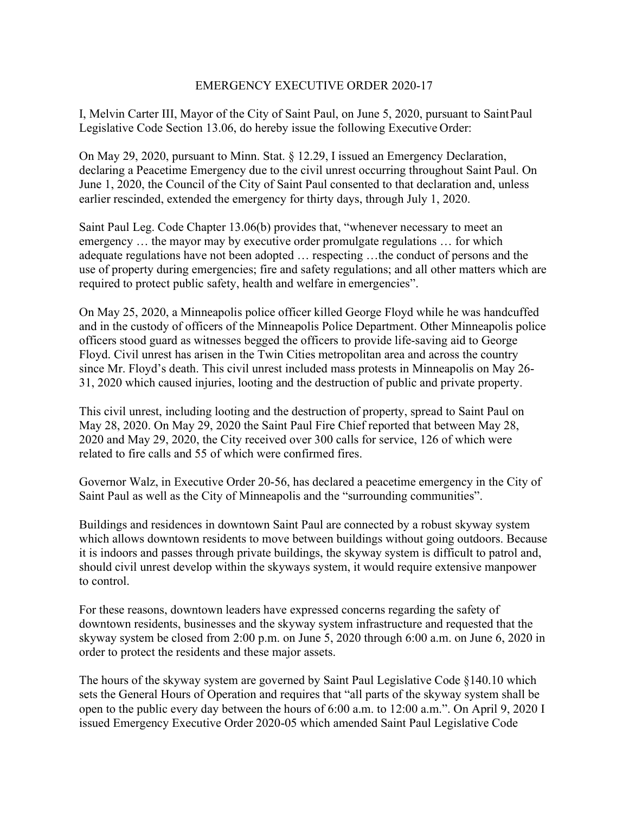## EMERGENCY EXECUTIVE ORDER 2020-17

I, Melvin Carter III, Mayor of the City of Saint Paul, on June 5, 2020, pursuant to Saint Paul Legislative Code Section 13.06, do hereby issue the following Executive Order:

On May 29, 2020, pursuant to Minn. Stat. § 12.29, I issued an Emergency Declaration, declaring a Peacetime Emergency due to the civil unrest occurring throughout Saint Paul. On June 1, 2020, the Council of the City of Saint Paul consented to that declaration and, unless earlier rescinded, extended the emergency for thirty days, through July 1, 2020.

Saint Paul Leg. Code Chapter 13.06(b) provides that, "whenever necessary to meet an emergency … the mayor may by executive order promulgate regulations … for which adequate regulations have not been adopted … respecting …the conduct of persons and the use of property during emergencies; fire and safety regulations; and all other matters which are required to protect public safety, health and welfare in emergencies".

On May 25, 2020, a Minneapolis police officer killed George Floyd while he was handcuffed and in the custody of officers of the Minneapolis Police Department. Other Minneapolis police officers stood guard as witnesses begged the officers to provide life-saving aid to George Floyd. Civil unrest has arisen in the Twin Cities metropolitan area and across the country since Mr. Floyd's death. This civil unrest included mass protests in Minneapolis on May 26- 31, 2020 which caused injuries, looting and the destruction of public and private property.

This civil unrest, including looting and the destruction of property, spread to Saint Paul on May 28, 2020. On May 29, 2020 the Saint Paul Fire Chief reported that between May 28, 2020 and May 29, 2020, the City received over 300 calls for service, 126 of which were related to fire calls and 55 of which were confirmed fires.

Governor Walz, in Executive Order 20-56, has declared a peacetime emergency in the City of Saint Paul as well as the City of Minneapolis and the "surrounding communities".

Buildings and residences in downtown Saint Paul are connected by a robust skyway system which allows downtown residents to move between buildings without going outdoors. Because it is indoors and passes through private buildings, the skyway system is difficult to patrol and, should civil unrest develop within the skyways system, it would require extensive manpower to control.

For these reasons, downtown leaders have expressed concerns regarding the safety of downtown residents, businesses and the skyway system infrastructure and requested that the skyway system be closed from 2:00 p.m. on June 5, 2020 through 6:00 a.m. on June 6, 2020 in order to protect the residents and these major assets.

The hours of the skyway system are governed by Saint Paul Legislative Code §140.10 which sets the General Hours of Operation and requires that "all parts of the skyway system shall be open to the public every day between the hours of 6:00 a.m. to 12:00 a.m.". On April 9, 2020 I issued Emergency Executive Order 2020-05 which amended Saint Paul Legislative Code